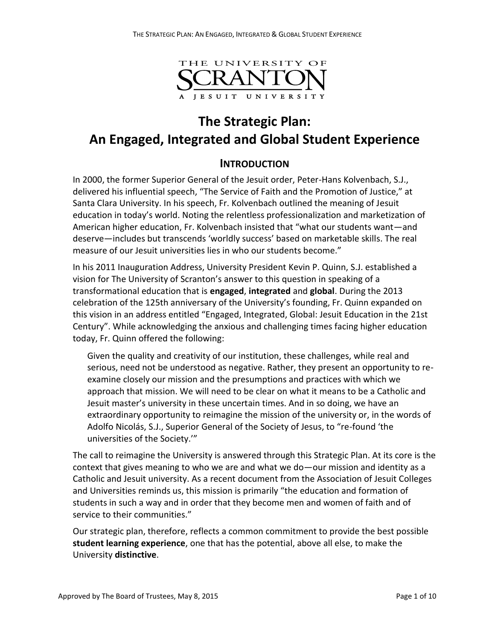

# **The Strategic Plan: An Engaged, Integrated and Global Student Experience**

## **INTRODUCTION**

In 2000, the former Superior General of the Jesuit order, Peter-Hans Kolvenbach, S.J., delivered his influential speech, "The Service of Faith and the Promotion of Justice," at Santa Clara University. In his speech, Fr. Kolvenbach outlined the meaning of Jesuit education in today's world. Noting the relentless professionalization and marketization of American higher education, Fr. Kolvenbach insisted that "what our students want—and deserve—includes but transcends 'worldly success' based on marketable skills. The real measure of our Jesuit universities lies in who our students become."

In his 2011 Inauguration Address, University President Kevin P. Quinn, S.J. established a vision for The University of Scranton's answer to this question in speaking of a transformational education that is **engaged**, **integrated** and **global**. During the 2013 celebration of the 125th anniversary of the University's founding, Fr. Quinn expanded on this vision in an address entitled "Engaged, Integrated, Global: Jesuit Education in the 21st Century". While acknowledging the anxious and challenging times facing higher education today, Fr. Quinn offered the following:

Given the quality and creativity of our institution, these challenges, while real and serious, need not be understood as negative. Rather, they present an opportunity to reexamine closely our mission and the presumptions and practices with which we approach that mission. We will need to be clear on what it means to be a Catholic and Jesuit master's university in these uncertain times. And in so doing, we have an extraordinary opportunity to reimagine the mission of the university or, in the words of Adolfo Nicolás, S.J., Superior General of the Society of Jesus, to "re-found 'the universities of the Society.'"

The call to reimagine the University is answered through this Strategic Plan. At its core is the context that gives meaning to who we are and what we do—our mission and identity as a Catholic and Jesuit university. As a recent document from the Association of Jesuit Colleges and Universities reminds us, this mission is primarily "the education and formation of students in such a way and in order that they become men and women of faith and of service to their communities."

Our strategic plan, therefore, reflects a common commitment to provide the best possible **student learning experience**, one that has the potential, above all else, to make the University **distinctive**.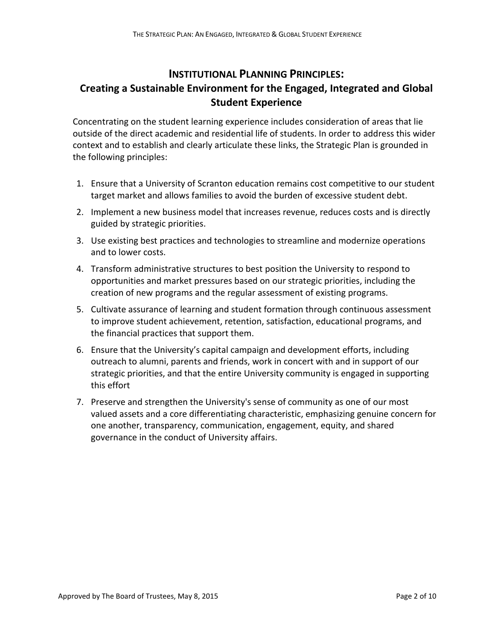# **INSTITUTIONAL PLANNING PRINCIPLES: Creating a Sustainable Environment for the Engaged, Integrated and Global Student Experience**

Concentrating on the student learning experience includes consideration of areas that lie outside of the direct academic and residential life of students. In order to address this wider context and to establish and clearly articulate these links, the Strategic Plan is grounded in the following principles:

- 1. Ensure that a University of Scranton education remains cost competitive to our student target market and allows families to avoid the burden of excessive student debt.
- 2. Implement a new business model that increases revenue, reduces costs and is directly guided by strategic priorities.
- 3. Use existing best practices and technologies to streamline and modernize operations and to lower costs.
- 4. Transform administrative structures to best position the University to respond to opportunities and market pressures based on our strategic priorities, including the creation of new programs and the regular assessment of existing programs.
- 5. Cultivate assurance of learning and student formation through continuous assessment to improve student achievement, retention, satisfaction, educational programs, and the financial practices that support them.
- 6. Ensure that the University's capital campaign and development efforts, including outreach to alumni, parents and friends, work in concert with and in support of our strategic priorities, and that the entire University community is engaged in supporting this effort
- 7. Preserve and strengthen the University's sense of community as one of our most valued assets and a core differentiating characteristic, emphasizing genuine concern for one another, transparency, communication, engagement, equity, and shared governance in the conduct of University affairs.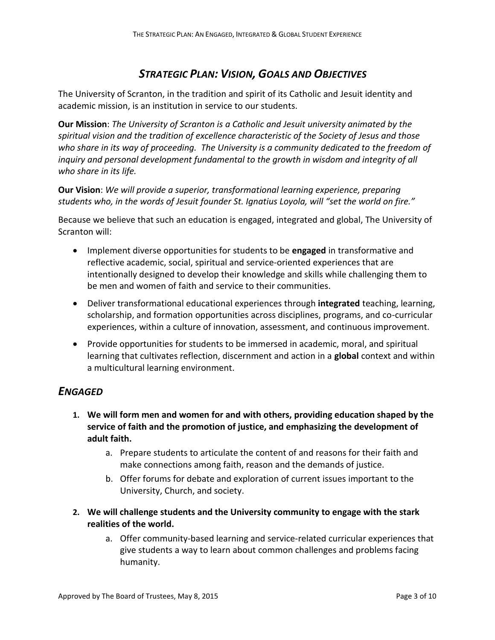# *STRATEGIC PLAN: VISION, GOALS AND OBJECTIVES*

The University of Scranton, in the tradition and spirit of its Catholic and Jesuit identity and academic mission, is an institution in service to our students.

**Our Mission**: *The University of Scranton is a Catholic and Jesuit university animated by the spiritual vision and the tradition of excellence characteristic of the Society of Jesus and those who share in its way of proceeding. The University is a community dedicated to the freedom of inquiry and personal development fundamental to the growth in wisdom and integrity of all who share in its life.* 

**Our Vision**: *We will provide a superior, transformational learning experience, preparing students who, in the words of Jesuit founder St. Ignatius Loyola, will "set the world on fire."*

Because we believe that such an education is engaged, integrated and global, The University of Scranton will:

- Implement diverse opportunities for students to be **engaged** in transformative and reflective academic, social, spiritual and service-oriented experiences that are intentionally designed to develop their knowledge and skills while challenging them to be men and women of faith and service to their communities.
- Deliver transformational educational experiences through **integrated** teaching, learning, scholarship, and formation opportunities across disciplines, programs, and co-curricular experiences, within a culture of innovation, assessment, and continuous improvement.
- Provide opportunities for students to be immersed in academic, moral, and spiritual learning that cultivates reflection, discernment and action in a **global** context and within a multicultural learning environment.

# *ENGAGED*

- **1. We will form men and women for and with others, providing education shaped by the service of faith and the promotion of justice, and emphasizing the development of adult faith.**
	- a. Prepare students to articulate the content of and reasons for their faith and make connections among faith, reason and the demands of justice.
	- b. Offer forums for debate and exploration of current issues important to the University, Church, and society.
- **2. We will challenge students and the University community to engage with the stark realities of the world.**
	- a. Offer community-based learning and service-related curricular experiences that give students a way to learn about common challenges and problems facing humanity.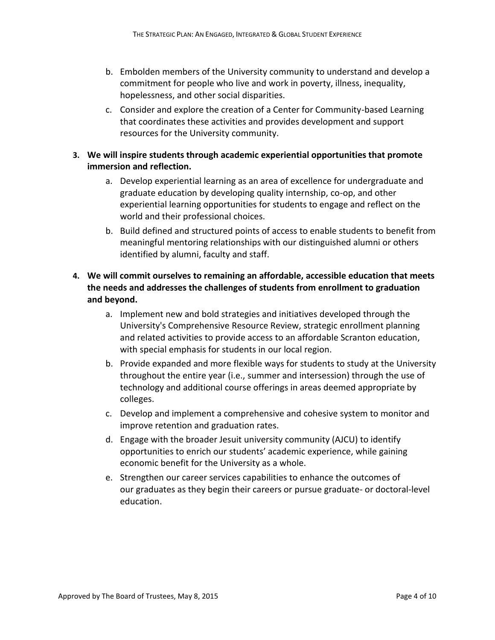- b. Embolden members of the University community to understand and develop a commitment for people who live and work in poverty, illness, inequality, hopelessness, and other social disparities.
- c. Consider and explore the creation of a Center for Community-based Learning that coordinates these activities and provides development and support resources for the University community.

#### **3. We will inspire students through academic experiential opportunities that promote immersion and reflection.**

- a. Develop experiential learning as an area of excellence for undergraduate and graduate education by developing quality internship, co-op, and other experiential learning opportunities for students to engage and reflect on the world and their professional choices.
- b. Build defined and structured points of access to enable students to benefit from meaningful mentoring relationships with our distinguished alumni or others identified by alumni, faculty and staff.

### **4. We will commit ourselves to remaining an affordable, accessible education that meets the needs and addresses the challenges of students from enrollment to graduation and beyond.**

- a. Implement new and bold strategies and initiatives developed through the University's Comprehensive Resource Review, strategic enrollment planning and related activities to provide access to an affordable Scranton education, with special emphasis for students in our local region.
- b. Provide expanded and more flexible ways for students to study at the University throughout the entire year (i.e., summer and intersession) through the use of technology and additional course offerings in areas deemed appropriate by colleges.
- c. Develop and implement a comprehensive and cohesive system to monitor and improve retention and graduation rates.
- d. Engage with the broader Jesuit university community (AJCU) to identify opportunities to enrich our students' academic experience, while gaining economic benefit for the University as a whole.
- e. Strengthen our career services capabilities to enhance the outcomes of our graduates as they begin their careers or pursue graduate- or doctoral-level education.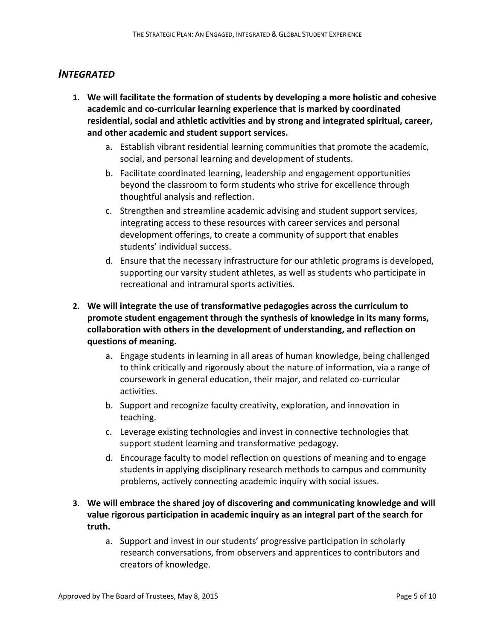### *INTEGRATED*

- **1. We will facilitate the formation of students by developing a more holistic and cohesive academic and co-curricular learning experience that is marked by coordinated residential, social and athletic activities and by strong and integrated spiritual, career, and other academic and student support services.** 
	- a. Establish vibrant residential learning communities that promote the academic, social, and personal learning and development of students.
	- b. Facilitate coordinated learning, leadership and engagement opportunities beyond the classroom to form students who strive for excellence through thoughtful analysis and reflection.
	- c. Strengthen and streamline academic advising and student support services, integrating access to these resources with career services and personal development offerings, to create a community of support that enables students' individual success.
	- d. Ensure that the necessary infrastructure for our athletic programs is developed, supporting our varsity student athletes, as well as students who participate in recreational and intramural sports activities.

### **2. We will integrate the use of transformative pedagogies across the curriculum to promote student engagement through the synthesis of knowledge in its many forms, collaboration with others in the development of understanding, and reflection on questions of meaning.**

- a. Engage students in learning in all areas of human knowledge, being challenged to think critically and rigorously about the nature of information, via a range of coursework in general education, their major, and related co-curricular activities.
- b. Support and recognize faculty creativity, exploration, and innovation in teaching.
- c. Leverage existing technologies and invest in connective technologies that support student learning and transformative pedagogy.
- d. Encourage faculty to model reflection on questions of meaning and to engage students in applying disciplinary research methods to campus and community problems, actively connecting academic inquiry with social issues.

#### **3. We will embrace the shared joy of discovering and communicating knowledge and will value rigorous participation in academic inquiry as an integral part of the search for truth.**

a. Support and invest in our students' progressive participation in scholarly research conversations, from observers and apprentices to contributors and creators of knowledge.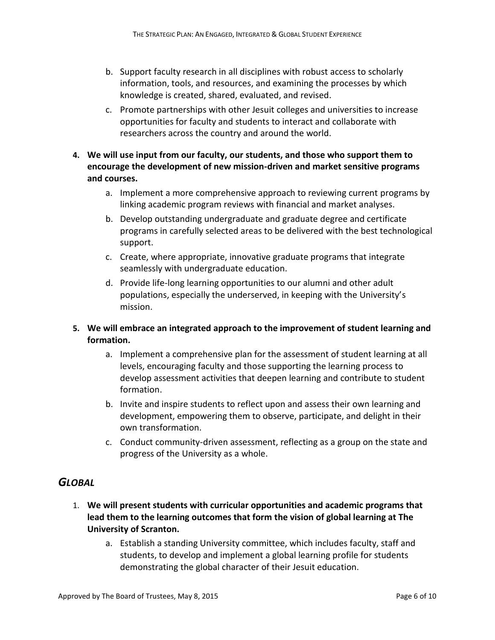- b. Support faculty research in all disciplines with robust access to scholarly information, tools, and resources, and examining the processes by which knowledge is created, shared, evaluated, and revised.
- c. Promote partnerships with other Jesuit colleges and universities to increase opportunities for faculty and students to interact and collaborate with researchers across the country and around the world.
- **4. We will use input from our faculty, our students, and those who support them to encourage the development of new mission-driven and market sensitive programs and courses.**
	- a. Implement a more comprehensive approach to reviewing current programs by linking academic program reviews with financial and market analyses.
	- b. Develop outstanding undergraduate and graduate degree and certificate programs in carefully selected areas to be delivered with the best technological support.
	- c. Create, where appropriate, innovative graduate programs that integrate seamlessly with undergraduate education.
	- d. Provide life-long learning opportunities to our alumni and other adult populations, especially the underserved, in keeping with the University's mission.
- **5. We will embrace an integrated approach to the improvement of student learning and formation.**
	- a. Implement a comprehensive plan for the assessment of student learning at all levels, encouraging faculty and those supporting the learning process to develop assessment activities that deepen learning and contribute to student formation.
	- b. Invite and inspire students to reflect upon and assess their own learning and development, empowering them to observe, participate, and delight in their own transformation.
	- c. Conduct community-driven assessment, reflecting as a group on the state and progress of the University as a whole.

### *GLOBAL*

- 1. **We will present students with curricular opportunities and academic programs that lead them to the learning outcomes that form the vision of global learning at The University of Scranton.** 
	- a. Establish a standing University committee, which includes faculty, staff and students, to develop and implement a global learning profile for students demonstrating the global character of their Jesuit education.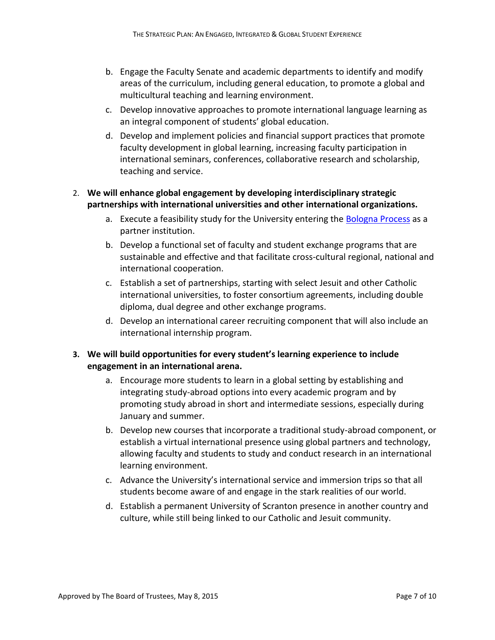- b. Engage the Faculty Senate and academic departments to identify and modify areas of the curriculum, including general education, to promote a global and multicultural teaching and learning environment.
- c. Develop innovative approaches to promote international language learning as an integral component of students' global education.
- d. Develop and implement policies and financial support practices that promote faculty development in global learning, increasing faculty participation in international seminars, conferences, collaborative research and scholarship, teaching and service.

#### 2. **We will enhance global engagement by developing interdisciplinary strategic partnerships with international universities and other international organizations.**

- a. Execute a feasibility study for the University entering the [Bologna Process](http://www.ehea.info/) as a partner institution.
- b. Develop a functional set of faculty and student exchange programs that are sustainable and effective and that facilitate cross-cultural regional, national and international cooperation.
- c. Establish a set of partnerships, starting with select Jesuit and other Catholic international universities, to foster consortium agreements, including double diploma, dual degree and other exchange programs.
- d. Develop an international career recruiting component that will also include an international internship program.

#### **3. We will build opportunities for every student's learning experience to include engagement in an international arena.**

- a. Encourage more students to learn in a global setting by establishing and integrating study-abroad options into every academic program and by promoting study abroad in short and intermediate sessions, especially during January and summer.
- b. Develop new courses that incorporate a traditional study-abroad component, or establish a virtual international presence using global partners and technology, allowing faculty and students to study and conduct research in an international learning environment.
- c. Advance the University's international service and immersion trips so that all students become aware of and engage in the stark realities of our world.
- d. Establish a permanent University of Scranton presence in another country and culture, while still being linked to our Catholic and Jesuit community.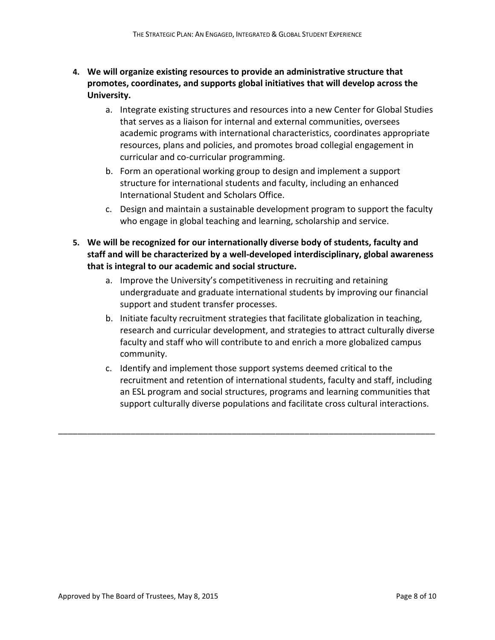- **4. We will organize existing resources to provide an administrative structure that promotes, coordinates, and supports global initiatives that will develop across the University.**
	- a. Integrate existing structures and resources into a new Center for Global Studies that serves as a liaison for internal and external communities, oversees academic programs with international characteristics, coordinates appropriate resources, plans and policies, and promotes broad collegial engagement in curricular and co-curricular programming.
	- b. Form an operational working group to design and implement a support structure for international students and faculty, including an enhanced International Student and Scholars Office.
	- c. Design and maintain a sustainable development program to support the faculty who engage in global teaching and learning, scholarship and service.
- **5. We will be recognized for our internationally diverse body of students, faculty and staff and will be characterized by a well-developed interdisciplinary, global awareness that is integral to our academic and social structure.**
	- a. Improve the University's competitiveness in recruiting and retaining undergraduate and graduate international students by improving our financial support and student transfer processes.
	- b. Initiate faculty recruitment strategies that facilitate globalization in teaching, research and curricular development, and strategies to attract culturally diverse faculty and staff who will contribute to and enrich a more globalized campus community.
	- c. Identify and implement those support systems deemed critical to the recruitment and retention of international students, faculty and staff, including an ESL program and social structures, programs and learning communities that support culturally diverse populations and facilitate cross cultural interactions.

\_\_\_\_\_\_\_\_\_\_\_\_\_\_\_\_\_\_\_\_\_\_\_\_\_\_\_\_\_\_\_\_\_\_\_\_\_\_\_\_\_\_\_\_\_\_\_\_\_\_\_\_\_\_\_\_\_\_\_\_\_\_\_\_\_\_\_\_\_\_\_\_\_\_\_\_\_\_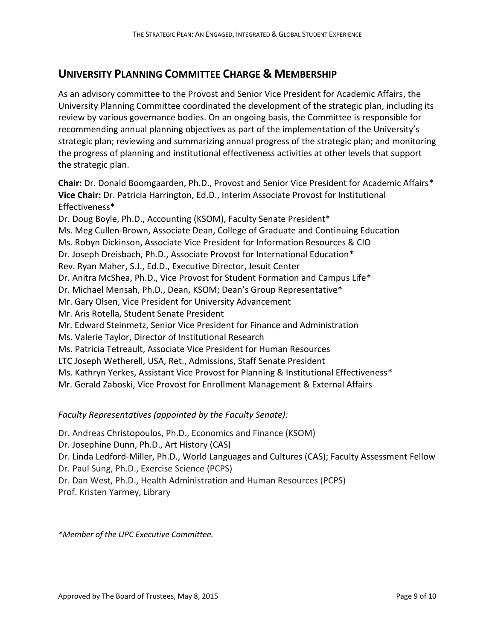# **UNIVERSITY PLANNING COMMITTEE CHARGE & MEMBERSHIP**

As an advisory committee to the Provost and Senior Vice President for Academic Affairs, the University Planning Committee coordinated the development of the strategic plan, including its review by various governance bodies. On an ongoing basis, the Committee is responsible for recommending annual planning objectives as part of the implementation of the University's strategic plan; reviewing and summarizing annual progress of the strategic plan; and monitoring the progress of planning and institutional effectiveness activities at other levels that support the strategic plan.

**Chair:** Dr. Donald Boomgaarden, Ph.D., Provost and Senior Vice President for Academic Affairs\* **Vice Chair:** Dr. Patricia Harrington, Ed.D., Interim Associate Provost for Institutional Effectiveness\* Dr. Doug Boyle, Ph.D., Accounting (KSOM), Faculty Senate President\* Ms. Meg Cullen-Brown, Associate Dean, College of Graduate and Continuing Education Ms. Robyn Dickinson, Associate Vice President for Information Resources & CIO Dr. Joseph Dreisbach, Ph.D., Associate Provost for International Education\* Rev. Ryan Maher, S.J., Ed.D., Executive Director, Jesuit Center Dr. Anitra McShea, Ph.D., Vice Provost for Student Formation and Campus Life\* Dr. Michael Mensah, Ph.D., Dean, KSOM; Dean's Group Representative\* Mr. Gary Olsen, Vice President for University Advancement Mr. Aris Rotella, Student Senate President Mr. Edward Steinmetz, Senior Vice President for Finance and Administration Ms. Valerie Taylor, Director of Institutional Research Ms. Patricia Tetreault, Associate Vice President for Human Resources LTC Joseph Wetherell, USA, Ret., Admissions, Staff Senate President Ms. Kathryn Yerkes, Assistant Vice Provost for Planning & Institutional Effectiveness\* Mr. Gerald Zaboski, Vice Provost for Enrollment Management & External Affairs

#### *Faculty Representatives (appointed by the Faculty Senate):*

Dr. Andreas Christopoulos, Ph.D., Economics and Finance (KSOM) Dr. Josephine Dunn, Ph.D., Art History (CAS) Dr. Linda Ledford-Miller, Ph.D., World Languages and Cultures (CAS); Faculty Assessment Fellow Dr. Paul Sung, Ph.D., Exercise Science (PCPS) Dr. Dan West, Ph.D., Health Administration and Human Resources (PCPS) Prof. Kristen Yarmey, Library

*\*Member of the UPC Executive Committee.*